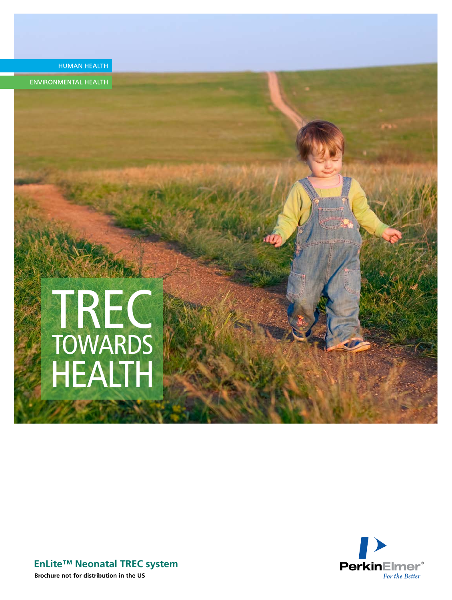

**ENVIRONMENTAL HEALTH** 

# TREC **TOWARDS** HEALTH



**EnLite™ Neonatal TREC system** 

**Brochure not for distribution in the US**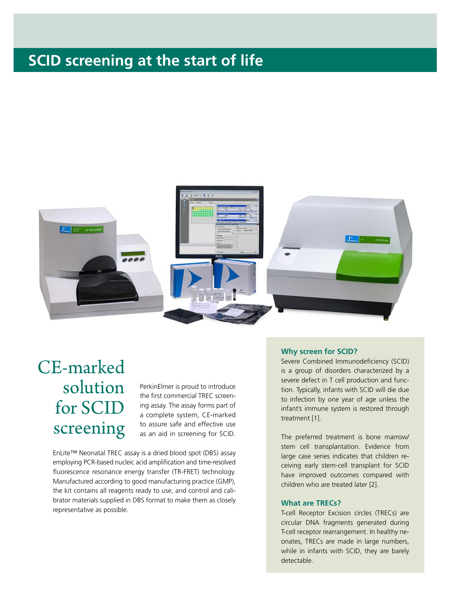### **SCID screening at the start of life**



# CE-marked solution for SCID screening

PerkinElmer is proud to introduce the first commercial TREC screening assay. The assay forms part of a complete system, CE-marked to assure safe and effective use as an aid in screening for SCID.

EnLite™ Neonatal TREC assay is a dried blood spot (DBS) assay employing PCR-based nucleic acid amplification and time-resolved fluorescence resonance energy transfer (TR-FRET) technology. Manufactured according to good manufacturing practice (GMP), the kit contains all reagents ready to use, and control and calibrator materials supplied in DBS format to make them as closely representative as possible.

#### **Why screen for SCID?**

Severe Combined Immunodeficiency (SCID) is a group of disorders characterized by a severe defect in T cell production and function. Typically, infants with SCID will die due to infection by one year of age unless the infant's immune system is restored through treatment [1].

The preferred treatment is bone marrow/ stem cell transplantation. Evidence from large case series indicates that children receiving early stem-cell transplant for SCID have improved outcomes compared with children who are treated later [2].

### **What are TRECs?**

T-cell Receptor Excision circles (TRECs) are circular DNA fragments generated during T-cell receptor rearrangement. In healthy neonates, TRECs are made in large numbers, while in infants with SCID, they are barely detectable.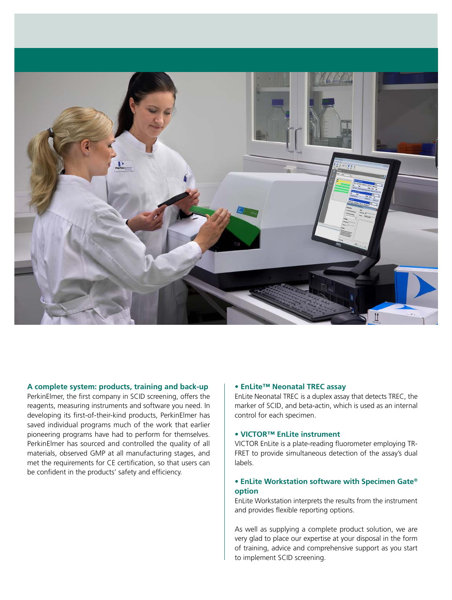

### **A complete system: products, training and back-up**

PerkinElmer, the first company in SCID screening, offers the reagents, measuring instruments and software you need. In developing its first-of-their-kind products, PerkinElmer has saved individual programs much of the work that earlier pioneering programs have had to perform for themselves. PerkinElmer has sourced and controlled the quality of all materials, observed GMP at all manufacturing stages, and met the requirements for CE certification, so that users can be confident in the products' safety and efficiency.

### **• EnLite™ Neonatal TREC assay**

EnLite Neonatal TREC is a duplex assay that detects TREC, the marker of SCID, and beta-actin, which is used as an internal control for each specimen.

### **• VICTOR™ EnLite instrument**

VICTOR EnLite is a plate-reading fluorometer employing TR-FRET to provide simultaneous detection of the assay's dual labels.

### **• EnLite Workstation software with Specimen Gate® option**

EnLite Workstation interprets the results from the instrument and provides flexible reporting options.

As well as supplying a complete product solution, we are very glad to place our expertise at your disposal in the form of training, advice and comprehensive support as you start to implement SCID screening.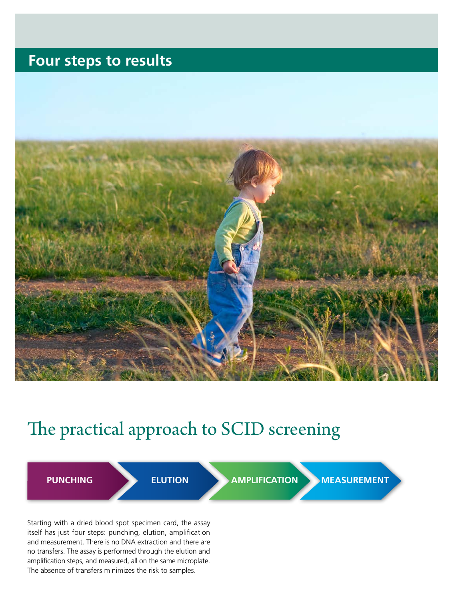### **Four steps to results**



# The practical approach to SCID screening

**PUNCHING ELUTION AMPLIFICATION MEASUREMENT** 

Starting with a dried blood spot specimen card, the assay itself has just four steps: punching, elution, amplification and measurement. There is no DNA extraction and there are no transfers. The assay is performed through the elution and amplification steps, and measured, all on the same microplate. The absence of transfers minimizes the risk to samples.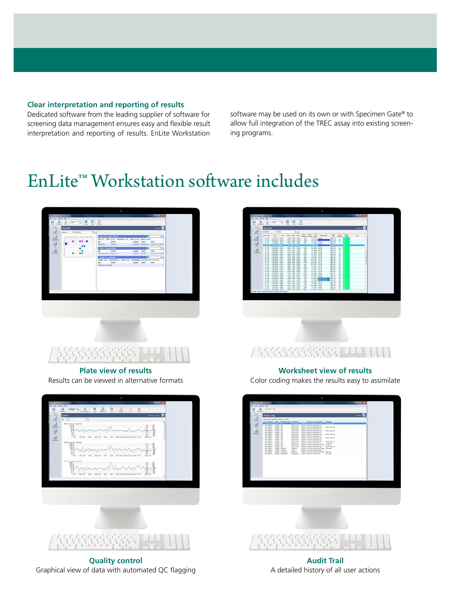### **Clear interpretation and reporting of results**

Dedicated software from the leading supplier of software for screening data management ensures easy and flexible result interpretation and reporting of results. EnLite Workstation software may be used on its own or with Specimen Gate® to allow full integration of the TREC assay into existing screening programs.

## EnLite™ Workstation software includes



**Quality control** Graphical view of data with automated QC flagging



### /3333333333111111111

### **Worksheet view of results**

Color coding makes the results easy to assimilate



**Audit Trail** A detailed history of all user actions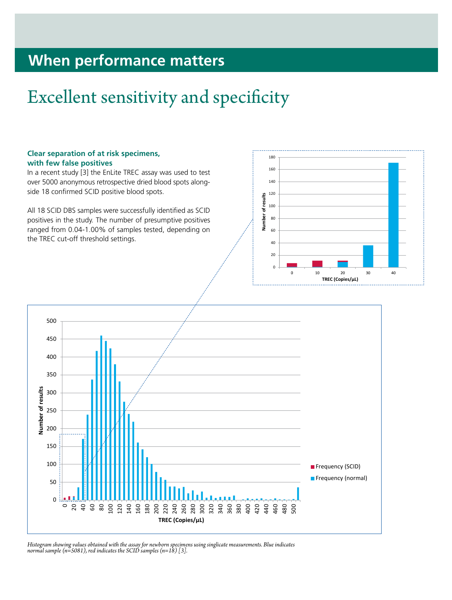### **When performance matters**

# Excellent sensitivity and specificity

### **Clear separation of at risk specimens, with few false positives**

In a recent study [3] the EnLite TREC assay was used to test over 5000 anonymous retrospective dried blood spots alongside 18 confirmed SCID positive blood spots.

All 18 SCID DBS samples were successfully identified as SCID positives in the study. The number of presumptive positives ranged from 0.04-1.00% of samples tested, depending on the TREC cut-off threshold settings.





*Histogram showing values obtained with the assay for newborn specimens using singlicate measurements. Blue indicates normal sample (n=5081), red indicates the SCID samples (n=18) [3].*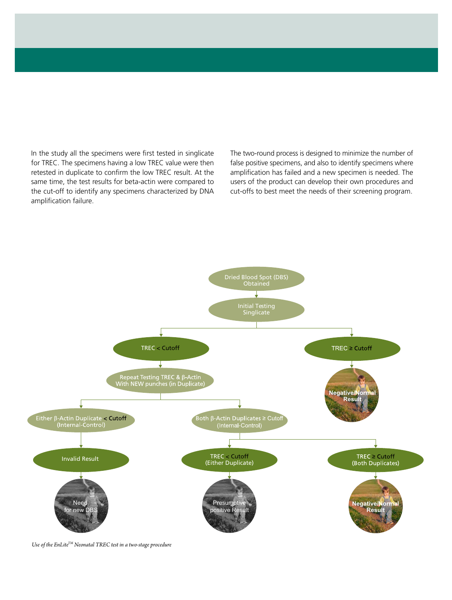In the study all the specimens were first tested in singlicate for TREC. The specimens having a low TREC value were then retested in duplicate to confirm the low TREC result. At the same time, the test results for beta-actin were compared to the cut-off to identify any specimens characterized by DNA amplification failure.

The two-round process is designed to minimize the number of false positive specimens, and also to identify specimens where amplification has failed and a new specimen is needed. The users of the product can develop their own procedures and cut-offs to best meet the needs of their screening program.



*Use of the EnLiteTM Neonatal TREC test in a two-stage procedure*